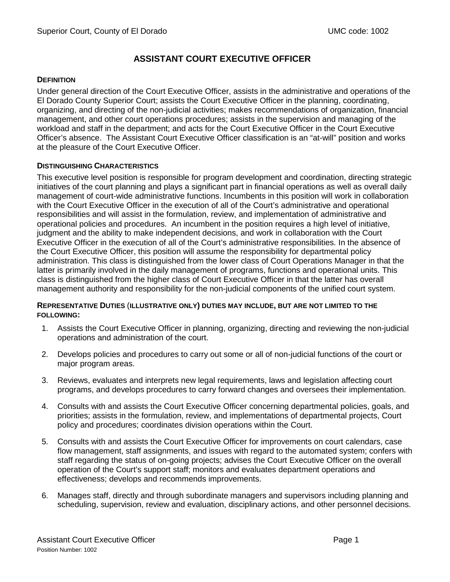# **ASSISTANT COURT EXECUTIVE OFFICER**

## **DEFINITION**

Under general direction of the Court Executive Officer, assists in the administrative and operations of the El Dorado County Superior Court; assists the Court Executive Officer in the planning, coordinating, organizing, and directing of the non-judicial activities; makes recommendations of organization, financial management, and other court operations procedures; assists in the supervision and managing of the workload and staff in the department; and acts for the Court Executive Officer in the Court Executive Officer's absence. The Assistant Court Executive Officer classification is an "at-will" position and works at the pleasure of the Court Executive Officer.

## **DISTINGUISHING CHARACTERISTICS**

This executive level position is responsible for program development and coordination, directing strategic initiatives of the court planning and plays a significant part in financial operations as well as overall daily management of court-wide administrative functions. Incumbents in this position will work in collaboration with the Court Executive Officer in the execution of all of the Court's administrative and operational responsibilities and will assist in the formulation, review, and implementation of administrative and operational policies and procedures. An incumbent in the position requires a high level of initiative, judgment and the ability to make independent decisions, and work in collaboration with the Court Executive Officer in the execution of all of the Court's administrative responsibilities. In the absence of the Court Executive Officer, this position will assume the responsibility for departmental policy administration. This class is distinguished from the lower class of Court Operations Manager in that the latter is primarily involved in the daily management of programs, functions and operational units. This class is distinguished from the higher class of Court Executive Officer in that the latter has overall management authority and responsibility for the non-judicial components of the unified court system.

## **REPRESENTATIVE DUTIES** (**ILLUSTRATIVE ONLY) DUTIES MAY INCLUDE, BUT ARE NOT LIMITED TO THE FOLLOWING:**

- 1. Assists the Court Executive Officer in planning, organizing, directing and reviewing the non-judicial operations and administration of the court.
- 2. Develops policies and procedures to carry out some or all of non-judicial functions of the court or major program areas.
- 3. Reviews, evaluates and interprets new legal requirements, laws and legislation affecting court programs, and develops procedures to carry forward changes and oversees their implementation.
- 4. Consults with and assists the Court Executive Officer concerning departmental policies, goals, and priorities; assists in the formulation, review, and implementations of departmental projects, Court policy and procedures; coordinates division operations within the Court.
- 5. Consults with and assists the Court Executive Officer for improvements on court calendars, case flow management, staff assignments, and issues with regard to the automated system; confers with staff regarding the status of on-going projects; advises the Court Executive Officer on the overall operation of the Court's support staff; monitors and evaluates department operations and effectiveness; develops and recommends improvements.
- 6. Manages staff, directly and through subordinate managers and supervisors including planning and scheduling, supervision, review and evaluation, disciplinary actions, and other personnel decisions.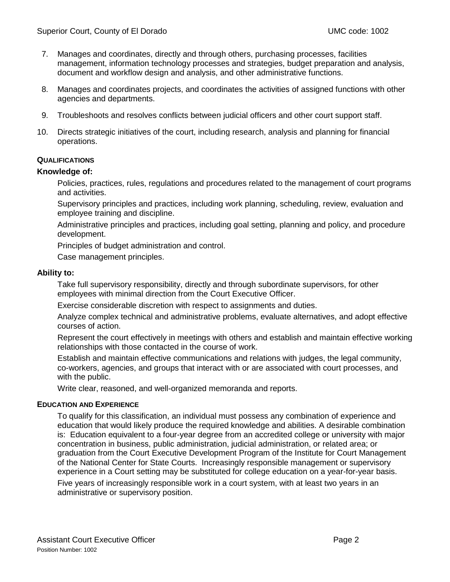- 7. Manages and coordinates, directly and through others, purchasing processes, facilities management, information technology processes and strategies, budget preparation and analysis, document and workflow design and analysis, and other administrative functions.
- 8. Manages and coordinates projects, and coordinates the activities of assigned functions with other agencies and departments.
- 9. Troubleshoots and resolves conflicts between judicial officers and other court support staff.
- 10. Directs strategic initiatives of the court, including research, analysis and planning for financial operations.

## **QUALIFICATIONS**

#### **Knowledge of:**

Policies, practices, rules, regulations and procedures related to the management of court programs and activities.

Supervisory principles and practices, including work planning, scheduling, review, evaluation and employee training and discipline.

Administrative principles and practices, including goal setting, planning and policy, and procedure development.

Principles of budget administration and control.

Case management principles.

#### **Ability to:**

Take full supervisory responsibility, directly and through subordinate supervisors, for other employees with minimal direction from the Court Executive Officer.

Exercise considerable discretion with respect to assignments and duties.

Analyze complex technical and administrative problems, evaluate alternatives, and adopt effective courses of action.

Represent the court effectively in meetings with others and establish and maintain effective working relationships with those contacted in the course of work.

Establish and maintain effective communications and relations with judges, the legal community, co-workers, agencies, and groups that interact with or are associated with court processes, and with the public.

Write clear, reasoned, and well-organized memoranda and reports.

#### **EDUCATION AND EXPERIENCE**

To qualify for this classification, an individual must possess any combination of experience and education that would likely produce the required knowledge and abilities. A desirable combination is: Education equivalent to a four-year degree from an accredited college or university with major concentration in business, public administration, judicial administration, or related area; or graduation from the Court Executive Development Program of the Institute for Court Management of the National Center for State Courts. Increasingly responsible management or supervisory experience in a Court setting may be substituted for college education on a year-for-year basis.

Five years of increasingly responsible work in a court system, with at least two years in an administrative or supervisory position.